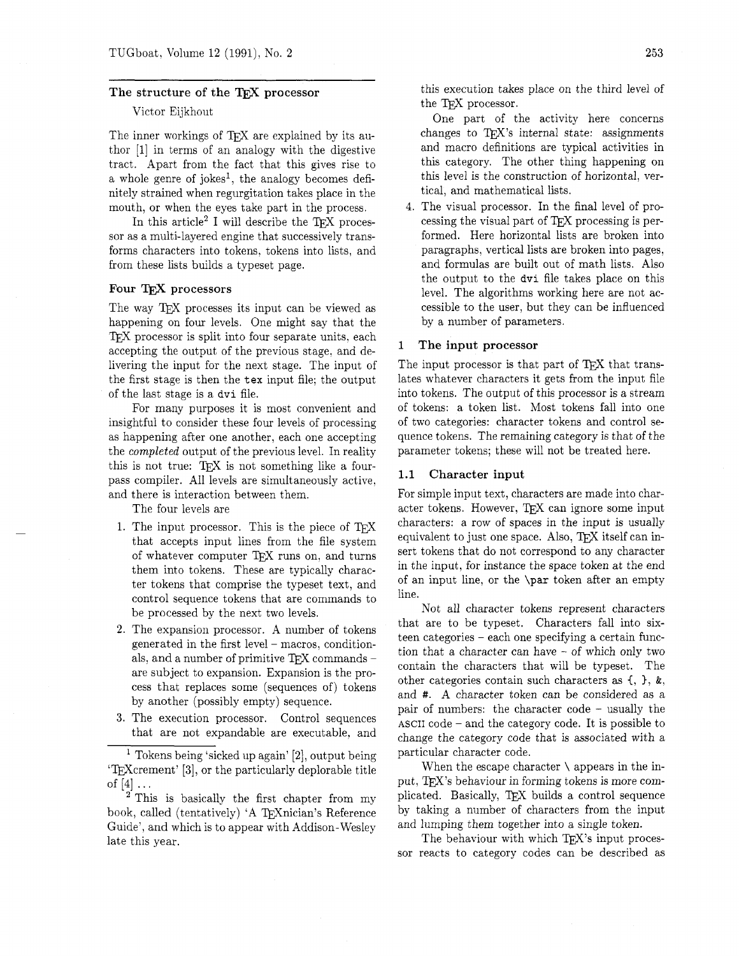## The structure of the TEX processor

## Victor Eijkhout

The inner workings of T<sub>F</sub>X are explained by its author [I] in terms of an analogy with the digestive tract. Apart from the fact that this gives rise to a whole genre of jokes<sup>1</sup>, the analogy becomes definitely strained when regurgitation takes place in the mouth, or when the eyes take part in the process.

In this article<sup>2</sup> I will describe the TFX processor as a multi-layered engine that successively transforms characters into tokens, tokens into lists, and from these lists builds a typeset page.

## Four T<sub>F</sub>X processors

The way TFX processes its input can be viewed as happening on four levels. One might say that the TFX processor is split into four separate units, each accepting the output of the previous stage, and delivering the input for the next stage. The input of the first stage is then the **tex** input file; the output of the last stage is a dvi file.

For many purposes it is most convenient and insightful to consider these four levels of processing as happening after one another, each one accepting the completed output of the previous level. In reality this is not true: T<sub>F</sub>X is not something like a fourpass compiler. All levels are simultaneously active, and there is interaction between them.

The four levels are

- 1. The input processor. This is the piece of *QX*  that accepts input lines from the file system of whatever computer TEX runs on, and turns them into tokens. These are typically character tokens that comprise the typeset text, and control sequence tokens that are commands to be processed by the next two levels.
- **2.** The expansion processor. A number of tokens generated in the first level - macros, conditionals, and a number of primitive  $TEX$  commands are subject to expansion. Expansion is the process that replaces some (sequences of) tokens by another (possibly empty) sequence.
- 3. The execution processor. Control sequences that are not expandable are executable, and

This is basically the first chapter from my book, called (tentatively) 'A T<sub>E</sub>Xnician's Reference Guide', and which is to appear with Addison-Wesley late this year.

this execution takes place on the third level of the T $EX$  processor.

One part of the activity here concerns changes to  $TFX$ 's internal state: assignments and macro definitions are typical activities in this category. The other thing happening on this level is the construction of horizontal, vertical, and mathematical lists.

The visual processor. In the final level of processing the visual part of  $T_F X$  processing is performed. Here horizontal lists are broken into paragraphs, vertical lists are broken into pages, and formulas are built out of math lists. Also the output to the dvi file takes place on this level. The algorithms working here are not accessible to the user, but they can be influenced by a number of parameters.

## 1 The input processor

The input processor is that part of TFX that translates whatever characters it gets from the input file into tokens. The output of this processor is a stream of tokens: a token list. Most tokens fall into one of two categories: character tokens and control sequence tokens. The remaining category is that of the parameter tokens; these will not be treated here.

## 1.1 Character input

For simple input text, characters are made into character tokens. However, TEX can ignore some input characters: a row of spaces in the input is usually equivalent to just one space. Also, TEX itself can insert tokens that do not correspond to any character in the input, for instance the space token at the end of an input line, or the \par token after an empty line.

Not all character tokens represent characters that are to be typeset. Characters fall into sixteen categories - each one specifying a certain function that a character can have - of which only two contain the characters that will be typeset. The other categories contain such characters as (, *1,* &, and #. A character token can be considered as a pair of numbers: the character code  $-$  usually the ASCII code - and the category code. It is possible to change the category code that is associated with a particular character code.

When the escape character  $\setminus$  appears in the input, TFX's behaviour in forming tokens is more complicated. Basically, TFX builds a control sequence by taking a number of characters from the input and lumping them together into a single token.

The behaviour with which TEX's input processor reacts to category codes can be described as

<sup>&</sup>lt;sup>1</sup> Tokens being 'sicked up again'  $[2]$ , output being 'TEXcrement' [3], or the particularly deplorable title of  $[4]$   $\dots$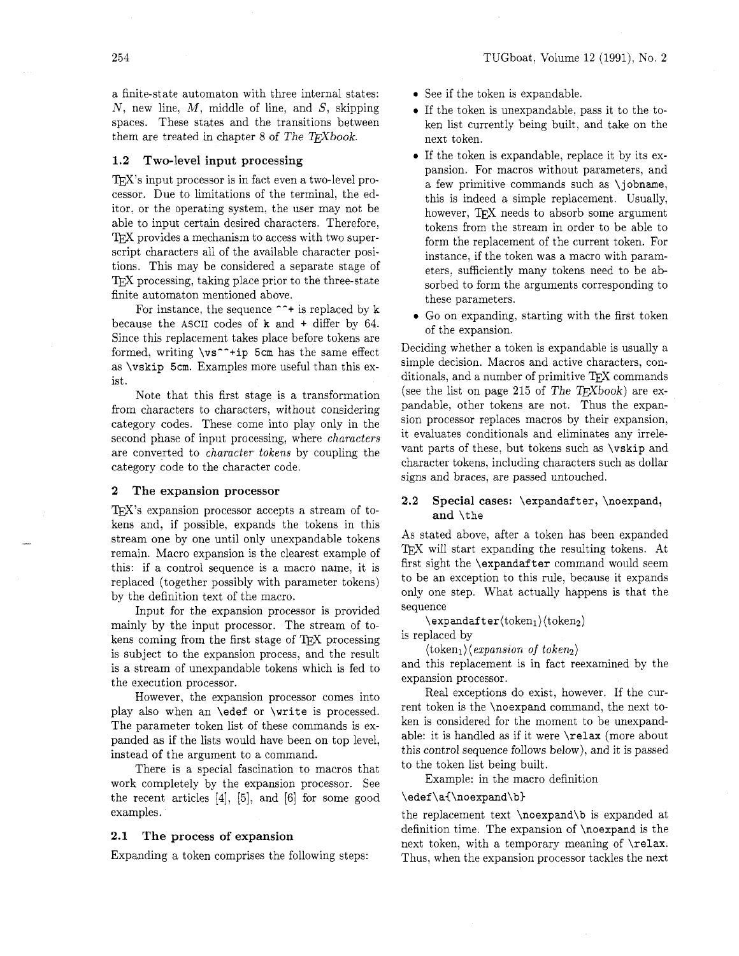a finite-state automaton with three internal states:  $N$ , new line,  $M$ , middle of line, and  $S$ , skipping spaces. These states and the transitions between them are treated in chapter 8 of The T<sub>F</sub>Xbook.

## **1.2 Two-level input processing**

T<sub>F</sub>X's input processor is in fact even a two-level processor. Due to limitations of the terminal, the editor. or the operating system, the user may not be able to input certain desired characters. Therefore, TFX provides a mechanism to access with two superscript characters all of the available character positions. This may be considered a separate stage of TEX processing, taking place prior to the three-state finite automaton mentioned above.

For instance, the sequence  $\gamma$ + is replaced by k because the ASCII codes of k and + differ by 64. Since this replacement takes place before tokens are formed, writing  $\vs^{\text{-+ip}}$  5cm has the same effect as \vskip 5cm. Examples more useful than this exist.

Note that this first stage is a transformation from characters to characters, without considering category codes. These come into play only in the second phase of input processing, where characters are converted to character tokens by coupling the category code to the character code.

#### **2 The expansion processor**

TFX's expansion processor accepts a stream of tokens and, if possible, expands the tokens in this stream one by one until only unexpandable tokens remain. Macro expansion is the clearest example of this: if a control sequence is a macro name, it is replaced (together possibly with parameter tokens) by the definition text of the macro.

Input for the expansion processor is provided mainly by the input processor. The stream of tokens coming from the first stage of TFX processing is subject to the expansion process, and the result is a stream of unexpandable tokens which is fed to the execution processor.

However, the expansion processor comes into play also when an \edef or \write is processed. The parameter token list of these commands is expanded as if the lists would have been on top level, instead of the argument to a command.

There is a special fascination to macros that work completely by the expansion processor. See the recent articles **[4],** [5], and [6] for some good examples.

## **2.1 The process of expansion**

Expanding a token comprises the following steps:

- See if the token is expandable.
- If the token is unexpandable, pass it to the token list currently being built, and take on the next token.
- If the token is expandable, replace it by its expansion. For macros without parameters, and a few primitive commands such as \jobname, this is indeed a simple replacement. Usually, however, TFX needs to absorb some argument tokens from the stream in order to be able to form the replacement of the current token. For instance, if the token was a macro with parameters, sufficiently many tokens need to be absorbed to form the arguments corresponding to these parameters.
- Go on expanding, starting with the first token of the expansion.

Deciding whether a token is expandable is usually a simple decision. Macros and active characters, conditionals, and a number of primitive TFX commands (see the list on page 215 of The T $EXbook$ ) are expandable, other tokens are not. Thus the expansion processor replaces macros by their expansion, it evaluates conditionals and eliminates any irrelevant parts of these, but tokens such as \vskip and character tokens, including characters such as dollar signs and braces, are passed untouched.

## **2.2 Special cases:** \expandafter, \noexpand, **and** \the

As stated above. after a token has been expanded TFX will start expanding the resulting tokens. At first sight the \expandafter command would seem to be an exception to this rule, because it expands only one step. What actually happens is that the sequence

 $\text{expandafter}(token_1)\langle token_2\rangle$ 

is replaced by

 $\langle \text{token}_1 \rangle \langle \text{expansion of token}_2 \rangle$ 

and this replacement is in fact reexamined by the expansion processor.

Real exceptions do exist, however. If the current token is the \noexpand command, the next token is considered for the moment to be unexpandable: it is handled as if it were \relax (more about this control sequence follows below), and it is passed to the token list being built.

Example: in the macro definition

### \edef\a{\noexpand\b}

the replacement text \noexpand\b is expanded at definition time. The expansion of \noexpand is the next token, with a temporary meaning of \relax. Thus, when the expansion processor tackles the next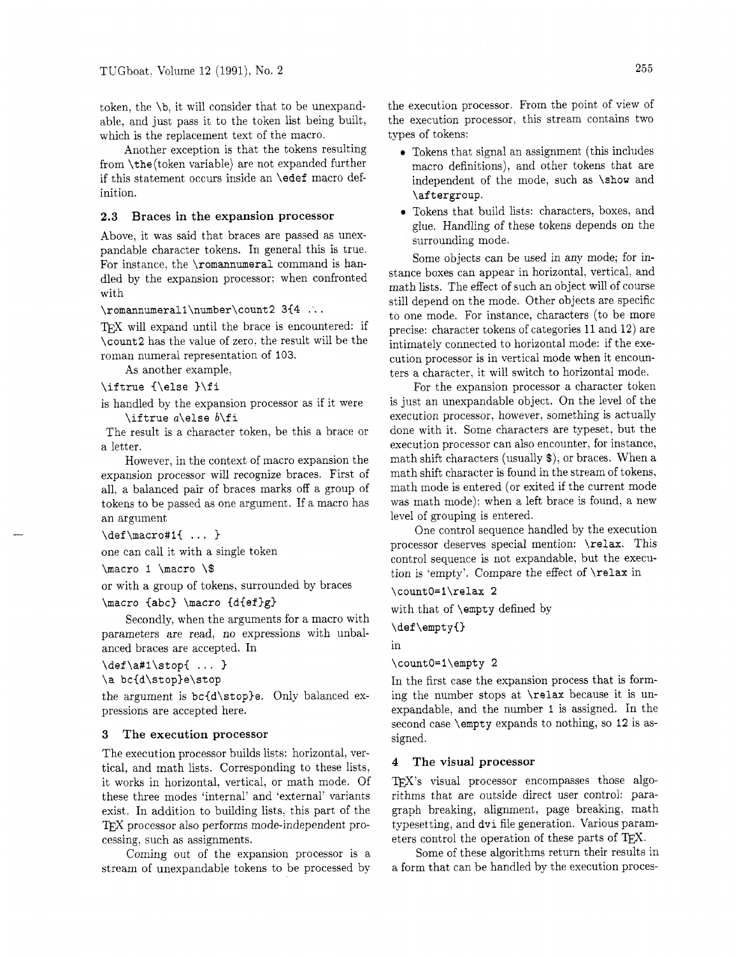token, the **\b,** it will consider that to be unexpandable, and just pass it to the token list being built, which is the replacement text of the macro.

Another exception is that the tokens resulting from \the(token variable) are not expanded further if this statement occurs inside an **\edef** macro definition.

#### **2.3 Braces in the expansion processor**

Above, it was said that braces are passed as unexpandable character tokens. In general this is true. For instance, the **\romannumeral** command is handled by the expansion processor; when confronted with

#### **\romannumerall\number\count2 3{4** .'..

TFX will expand until the brace is encountered: if **\count2** has the value of zero. the result will be the roman numeral representation of **103.** 

As another example.

```
\iftrue {\else }\fi
```
is handled by the expansion processor as if it were **\iftrue a\else b\f i** 

The result is a character token. be this a brace or a letter.

However, in the context of macro expansion the expansion processor will recognize braces. First of all. a balanced pair of braces marks off a group of tokens to be passed as one argument. If a macro has an argument

```
\def\macro#1{ ... }
```
one can call it with a single token

**\macro I \macro** \\$

or with a group of tokens, surrounded by braces

#### **\macro Iabc) \macro Cd{ef>g)**

Secondly, when the arguments for a macro with parameters are read, no expressions with unbalanced braces are accepted. In

**\def\a#l\stopC** ... **1** 

```
\a bc<d\stople\stop
```
the argument is  $bc{d\st{op}}e$ . Only balanced expressions are accepted here.

#### **3 The execution processor**

The execution processor builds lists: horizontal, vertical, and math lists. Corresponding to these lists, it works in horizontal, vertical, or math mode. Of these three modes 'internal' and 'external' variants exist. In addition to building lists, this part of the TEX processor also performs mode-independent processing, such as assignments.

Coming out of the expansion processor is a stream of unexpandable tokens to be processed by

the execution processor. From the point of view of the execution processor, this stream contains two types of tokens:

- Tokens that signal an assignment (this includes macro definitions), and other tokens that are independent of the mode, such as **\show** and **\aftergroup.**
- Tokens that build lists: characters, boxes, and glue. Handling of these tokens depends on the surrounding mode.

Some objects can be used in any mode; for instance boxes can appear in horizontal, vertical, and math lists. The effect of such an object will of course still depend on the mode. Other objects are specific to one mode. For instance, characters (to be more precise: character tokens of categories 11 and 12) are intimately connected to horizontal mode: if the execution processor is in vertical mode when it encounters a character, it will switch to horizontal mode.

For the expansion processor a character token is just an unexpandable object. On the level of the execution processor, however, something is actually done with it. Some characters are typeset. but the execution processor can also encounter, for instance, math shift characters (usually \$), or braces. When a math shift character is found in the stream of tokens. math mode is entered (or exited if the current mode was math mode); when a left brace is found, a new level of grouping is entered.

One control sequence handled by the execution processor deserves special mention: **\relax.** This control sequence is not expandable. but the execution is 'empty'. Compare the effect of **\relax** in

**\countO=l\relax 2** 

with that of **\empty** defined by

\def\empty{}

in

#### **\countO=l\empty 2**

In the first case the expansion process that is forming the number stops at **\relax** because it is unexpandable, and the number **I** is assigned. In the second case **\empty** expands to nothing, so **12** is assigned.

## **4 The visual processor**

TEX's visual processor encompasses those algorithms that are outside direct user control: paragraph breaking, alignment, page breaking, math typesetting, and **dvi** file generation. Various parameters control the operation of these parts of  $T_{E}X$ .

Some of these algorithms return their results in a form that can be handled by the execution proces